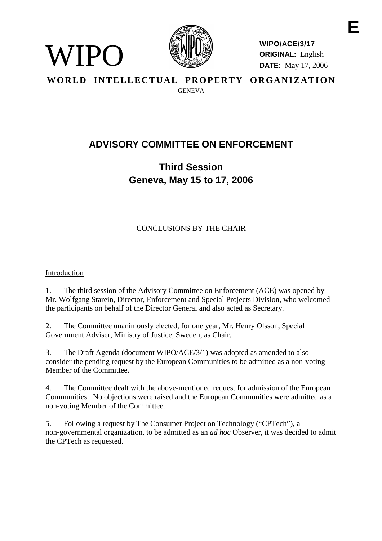

**WIPO/ACE/3/17 ORIGINAL:** English **DATE:** May 17, 2006

WORLD INTELLECTUAL PROPERTY ORGANIZATION GENEVA

# **ADVISORY COMMITTEE ON ENFORCEMENT**

# **Third Session Geneva, May 15 to 17, 2006**

## CONCLUSIONS BY THE CHAIR

### Introduction

WIPO)

1. The third session of the Advisory Committee on Enforcement (ACE) was opened by Mr. Wolfgang Starein, Director, Enforcement and Special Projects Division, who welcomed the participants on behalf of the Director General and also acted as Secretary.

2. The Committee unanimously elected, for one year, Mr. Henry Olsson, Special Government Adviser, Ministry of Justice, Sweden, as Chair.

3. The Draft Agenda (document WIPO/ACE/3/1) was adopted as amended to also consider the pending request by the European Communities to be admitted as a non-voting Member of the Committee.

4. The Committee dealt with the above-mentioned request for admission of the European Communities. No objections were raised and the European Communities were admitted as a non-voting Member of the Committee.

5. Following a request by The Consumer Project on Technology ("CPTech"), a non-governmental organization, to be admitted as an *ad hoc* Observer, it was decided to admit the CPTech as requested.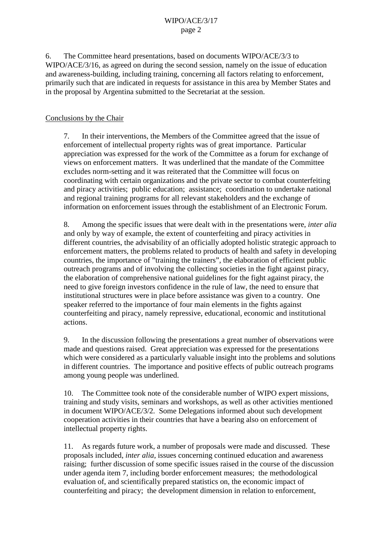#### WIPO/ACE/3/17 page 2

6. The Committee heard presentations, based on documents WIPO/ACE/3/3 to WIPO/ACE/3/16, as agreed on during the second session, namely on the issue of education and awareness-building, including training, concerning all factors relating to enforcement, primarily such that are indicated in requests for assistance in this area by Member States and in the proposal by Argentina submitted to the Secretariat at the session.

#### Conclusions by the Chair

7. In their interventions, the Members of the Committee agreed that the issue of enforcement of intellectual property rights was of great importance. Particular appreciation was expressed for the work of the Committee as a forum for exchange of views on enforcement matters. It was underlined that the mandate of the Committee excludes norm-setting and it was reiterated that the Committee will focus on coordinating with certain organizations and the private sector to combat counterfeiting and piracy activities; public education; assistance; coordination to undertake national and regional training programs for all relevant stakeholders and the exchange of information on enforcement issues through the establishment of an Electronic Forum.

8. Among the specific issues that were dealt with in the presentations were, *inter alia* and only by way of example, the extent of counterfeiting and piracy activities in different countries, the advisability of an officially adopted holistic strategic approach to enforcement matters, the problems related to products of health and safety in developing countries, the importance of "training the trainers", the elaboration of efficient public outreach programs and of involving the collecting societies in the fight against piracy, the elaboration of comprehensive national guidelines for the fight against piracy, the need to give foreign investors confidence in the rule of law, the need to ensure that institutional structures were in place before assistance was given to a country. One speaker referred to the importance of four main elements in the fights against counterfeiting and piracy, namely repressive, educational, economic and institutional actions.

9. In the discussion following the presentations a great number of observations were made and questions raised. Great appreciation was expressed for the presentations which were considered as a particularly valuable insight into the problems and solutions in different countries. The importance and positive effects of public outreach programs among young people was underlined.

10. The Committee took note of the considerable number of WIPO expert missions, training and study visits, seminars and workshops, as well as other activities mentioned in document WIPO/ACE/3/2. Some Delegations informed about such development cooperation activities in their countries that have a bearing also on enforcement of intellectual property rights.

11. As regards future work, a number of proposals were made and discussed. These proposals included, *inter alia*, issues concerning continued education and awareness raising; further discussion of some specific issues raised in the course of the discussion under agenda item 7, including border enforcement measures; the methodological evaluation of, and scientifically prepared statistics on, the economic impact of counterfeiting and piracy; the development dimension in relation to enforcement,